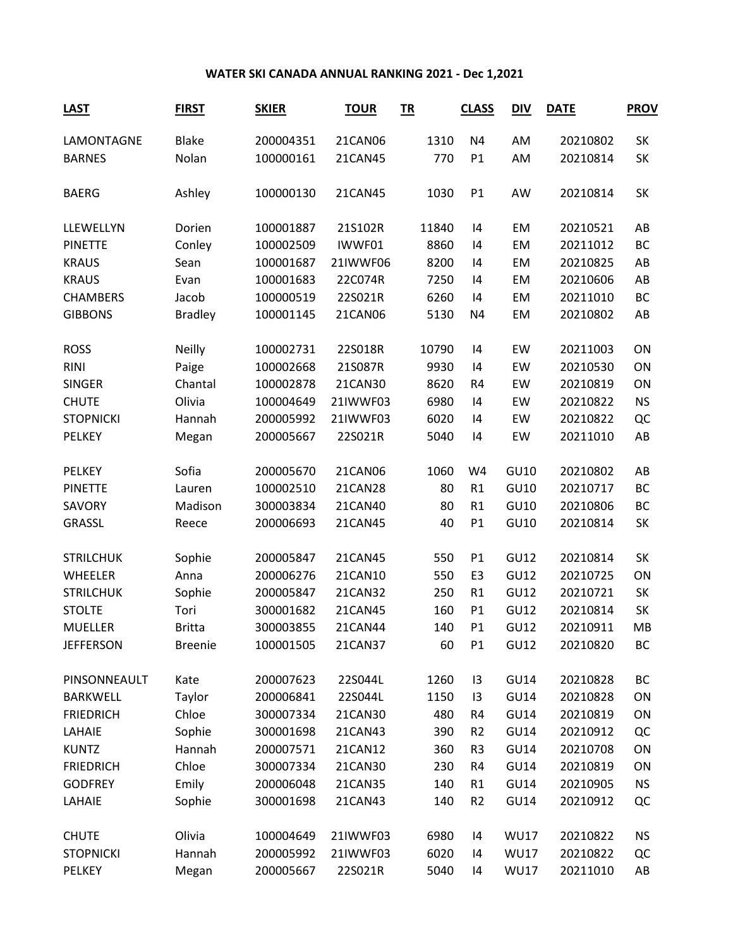## **WATER SKI CANADA ANNUAL RANKING 2021 - Dec 1,2021**

| <b>LAST</b>      | <b>FIRST</b>   | <b>SKIER</b> | <b>TOUR</b> | TR    | <b>CLASS</b>   | <b>DIV</b>  | <b>DATE</b> | <b>PROV</b> |
|------------------|----------------|--------------|-------------|-------|----------------|-------------|-------------|-------------|
| LAMONTAGNE       | <b>Blake</b>   | 200004351    | 21CAN06     | 1310  | N4             | AM          | 20210802    | SK          |
| <b>BARNES</b>    | Nolan          | 100000161    | 21CAN45     | 770   | P1             | AM          | 20210814    | SK          |
| <b>BAERG</b>     | Ashley         | 100000130    | 21CAN45     | 1030  | P1             | AW          | 20210814    | SK          |
| LLEWELLYN        | Dorien         | 100001887    | 21S102R     | 11840 | 14             | EM          | 20210521    | AB          |
| <b>PINETTE</b>   | Conley         | 100002509    | IWWF01      | 8860  | 4              | EM          | 20211012    | <b>BC</b>   |
| <b>KRAUS</b>     | Sean           | 100001687    | 21IWWF06    | 8200  | 4              | EM          | 20210825    | AB          |
| <b>KRAUS</b>     | Evan           | 100001683    | 22C074R     | 7250  | 4              | EM          | 20210606    | AB          |
| <b>CHAMBERS</b>  | Jacob          | 100000519    | 22S021R     | 6260  | 4              | EM          | 20211010    | <b>BC</b>   |
| <b>GIBBONS</b>   | <b>Bradley</b> | 100001145    | 21CAN06     | 5130  | N4             | EM          | 20210802    | AB          |
| <b>ROSS</b>      | <b>Neilly</b>  | 100002731    | 22S018R     | 10790 | 4              | EW          | 20211003    | ON          |
| <b>RINI</b>      | Paige          | 100002668    | 21S087R     | 9930  | 14             | EW          | 20210530    | ON          |
| <b>SINGER</b>    | Chantal        | 100002878    | 21CAN30     | 8620  | R4             | EW          | 20210819    | ON          |
| <b>CHUTE</b>     | Olivia         | 100004649    | 21IWWF03    | 6980  | 4              | EW          | 20210822    | <b>NS</b>   |
| <b>STOPNICKI</b> | Hannah         | 200005992    | 21IWWF03    | 6020  | 14             | EW          | 20210822    | QC          |
| PELKEY           | Megan          | 200005667    | 22S021R     | 5040  | 4              | EW          | 20211010    | AB          |
| <b>PELKEY</b>    | Sofia          | 200005670    | 21CAN06     | 1060  | W4             | GU10        | 20210802    | AB          |
| <b>PINETTE</b>   | Lauren         | 100002510    | 21CAN28     | 80    | R1             | GU10        | 20210717    | <b>BC</b>   |
| SAVORY           | Madison        | 300003834    | 21CAN40     | 80    | R1             | GU10        | 20210806    | <b>BC</b>   |
| <b>GRASSL</b>    | Reece          | 200006693    | 21CAN45     | 40    | P1             | GU10        | 20210814    | SK          |
| <b>STRILCHUK</b> | Sophie         | 200005847    | 21CAN45     | 550   | P1             | GU12        | 20210814    | SK          |
| WHEELER          | Anna           | 200006276    | 21CAN10     | 550   | E <sub>3</sub> | GU12        | 20210725    | ON          |
| <b>STRILCHUK</b> | Sophie         | 200005847    | 21CAN32     | 250   | R1             | GU12        | 20210721    | <b>SK</b>   |
| <b>STOLTE</b>    | Tori           | 300001682    | 21CAN45     | 160   | P1             | <b>GU12</b> | 20210814    | SK          |
| <b>MUELLER</b>   | <b>Britta</b>  | 300003855    | 21CAN44     | 140   | P1             | <b>GU12</b> | 20210911    | MB          |
| <b>JEFFERSON</b> | <b>Breenie</b> | 100001505    | 21CAN37     | 60    | P1             | <b>GU12</b> | 20210820    | ВC          |
| PINSONNEAULT     | Kate           | 200007623    | 22S044L     | 1260  | 13             | <b>GU14</b> | 20210828    | BC          |
| <b>BARKWELL</b>  | Taylor         | 200006841    | 22S044L     | 1150  | 13             | <b>GU14</b> | 20210828    | ON          |
| <b>FRIEDRICH</b> | Chloe          | 300007334    | 21CAN30     | 480   | R4             | <b>GU14</b> | 20210819    | ON          |
| LAHAIE           | Sophie         | 300001698    | 21CAN43     | 390   | R <sub>2</sub> | <b>GU14</b> | 20210912    | QC          |
| <b>KUNTZ</b>     | Hannah         | 200007571    | 21CAN12     | 360   | R <sub>3</sub> | <b>GU14</b> | 20210708    | ON          |
| <b>FRIEDRICH</b> | Chloe          | 300007334    | 21CAN30     | 230   | R4             | <b>GU14</b> | 20210819    | ON          |
| <b>GODFREY</b>   | Emily          | 200006048    | 21CAN35     | 140   | R1             | <b>GU14</b> | 20210905    | <b>NS</b>   |
| LAHAIE           | Sophie         | 300001698    | 21CAN43     | 140   | R <sub>2</sub> | <b>GU14</b> | 20210912    | QC          |
| <b>CHUTE</b>     | Olivia         | 100004649    | 21IWWF03    | 6980  | 4              | <b>WU17</b> | 20210822    | <b>NS</b>   |
| <b>STOPNICKI</b> | Hannah         | 200005992    | 21IWWF03    | 6020  | 4              | <b>WU17</b> | 20210822    | QC          |
| PELKEY           | Megan          | 200005667    | 22S021R     | 5040  | 14             | <b>WU17</b> | 20211010    | AB          |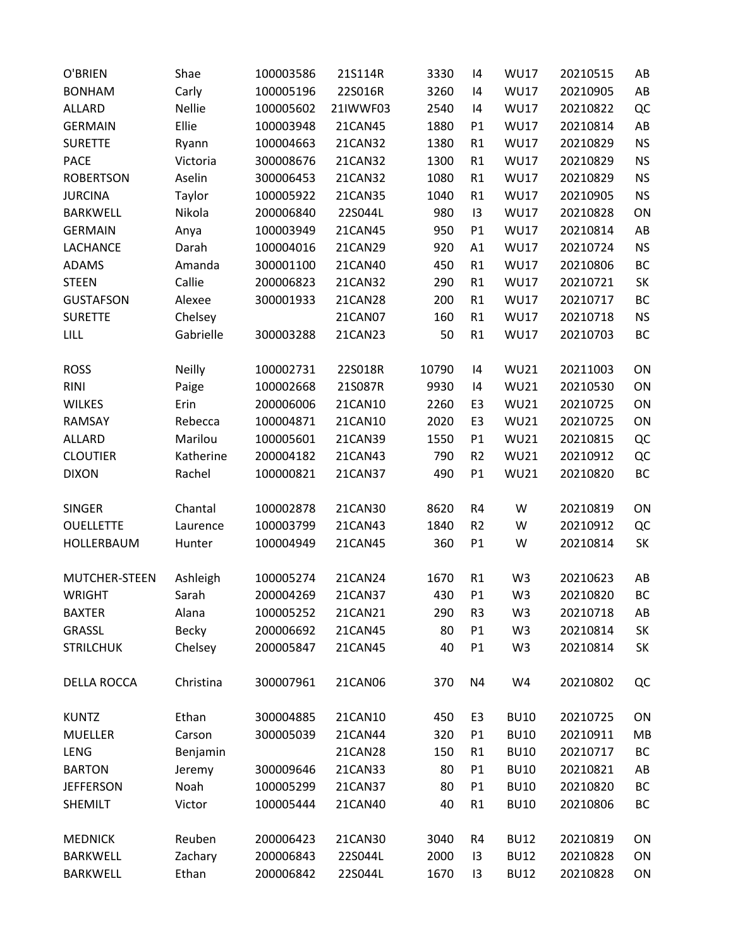| AB<br><b>BONHAM</b><br>Carly<br>100005196<br>22S016R<br>3260<br><b>WU17</b><br>20210905<br> 4<br>QC<br><b>Nellie</b><br><b>WU17</b><br>20210822<br><b>ALLARD</b><br>100005602<br>21IWWF03<br>2540<br> 4<br>Ellie<br><b>WU17</b><br>AB<br><b>GERMAIN</b><br>100003948<br>21CAN45<br>1880<br>20210814<br>P1<br><b>NS</b><br><b>SURETTE</b><br>100004663<br>21CAN32<br>1380<br>R1<br><b>WU17</b><br>20210829<br>Ryann<br><b>PACE</b><br>300008676<br>1300<br><b>WU17</b><br>20210829<br><b>NS</b><br>Victoria<br>21CAN32<br>R1<br>1080<br><b>NS</b><br><b>ROBERTSON</b><br>Aselin<br>300006453<br>21CAN32<br><b>WU17</b><br>20210829<br>R1<br><b>NS</b><br>Taylor<br>1040<br><b>WU17</b><br>20210905<br><b>JURCINA</b><br>100005922<br>21CAN35<br>R1<br>ON<br><b>BARKWELL</b><br>Nikola<br>200006840<br>22S044L<br>980<br><b>WU17</b><br>20210828<br>13<br>AB<br><b>GERMAIN</b><br>100003949<br>950<br>P1<br><b>WU17</b><br>20210814<br>21CAN45<br>Anya<br><b>NS</b><br><b>LACHANCE</b><br>Darah<br>100004016<br>21CAN29<br>920<br><b>WU17</b><br>20210724<br>A1<br>BC<br><b>ADAMS</b><br>Amanda<br>300001100<br>21CAN40<br>450<br>R1<br><b>WU17</b><br>20210806<br><b>STEEN</b><br>Callie<br>200006823<br>290<br><b>WU17</b><br>20210721<br>SK<br>21CAN32<br>R1<br>BC<br><b>GUSTAFSON</b><br>Alexee<br>300001933<br>21CAN28<br>200<br>R1<br><b>WU17</b><br>20210717<br><b>NS</b><br><b>SURETTE</b><br>Chelsey<br>160<br>R1<br><b>WU17</b><br>20210718<br>21CAN07<br>BC<br><b>LILL</b><br>Gabrielle<br>300003288<br>50<br>R1<br><b>WU17</b><br>21CAN23<br>20210703<br>Neilly<br>100002731<br>22S018R<br>10790<br><b>WU21</b><br>20211003<br>ON<br><b>ROSS</b><br> 4<br>ON<br><b>RINI</b><br>100002668<br>21S087R<br>9930<br><b>WU21</b><br>20210530<br>Paige<br> 4<br>Erin<br>200006006<br>2260<br><b>WU21</b><br>20210725<br>ON<br><b>WILKES</b><br>21CAN10<br>E <sub>3</sub><br>RAMSAY<br>Rebecca<br>100004871<br>21CAN10<br>2020<br><b>WU21</b><br>20210725<br>ON<br>E <sub>3</sub><br>${\sf QC}$<br>ALLARD<br>Marilou<br>100005601<br>21CAN39<br>1550<br><b>WU21</b><br>20210815<br>P1<br>QC<br><b>CLOUTIER</b><br>Katherine<br>200004182<br>21CAN43<br>790<br><b>WU21</b><br>20210912<br>R <sub>2</sub><br>P1<br>BC<br>Rachel<br>100000821<br>21CAN37<br>490<br><b>WU21</b><br><b>DIXON</b><br>20210820<br><b>SINGER</b><br>Chantal<br>100002878<br>8620<br>W<br>20210819<br>ON<br>21CAN30<br>R4<br>QC<br>100003799<br>1840<br>R <sub>2</sub><br>W<br>20210912<br><b>OUELLETTE</b><br>21CAN43<br>Laurence<br>SK<br>100004949<br>360<br>P1<br>20210814<br>HOLLERBAUM<br>Hunter<br>21CAN45<br>W<br>MUTCHER-STEEN<br>100005274<br>1670<br>R1<br>W <sub>3</sub><br>20210623<br>Ashleigh<br>21CAN24<br>AB<br>BC<br>Sarah<br>200004269<br>21CAN37<br>430<br>P1<br>W <sub>3</sub><br><b>WRIGHT</b><br>20210820<br><b>BAXTER</b><br>Alana<br>100005252<br>21CAN21<br>290<br>R <sub>3</sub><br>W <sub>3</sub><br>20210718<br>AB<br>Becky<br>GRASSL<br>200006692<br>80<br>W <sub>3</sub><br>20210814<br>SK<br>21CAN45<br>P1<br>Chelsey<br>SK<br><b>STRILCHUK</b><br>200005847<br>21CAN45<br>40<br>P <sub>1</sub><br>W <sub>3</sub><br>20210814<br>W4<br>QC<br><b>DELLA ROCCA</b><br>Christina<br>300007961<br>21CAN06<br>370<br>N4<br>20210802<br><b>BU10</b><br><b>KUNTZ</b><br>Ethan<br>300004885<br>21CAN10<br>450<br>E <sub>3</sub><br>20210725<br>ON<br><b>BU10</b><br>MB<br><b>MUELLER</b><br>Carson<br>300005039<br>21CAN44<br>320<br>20210911<br>P <sub>1</sub><br><b>LENG</b><br>Benjamin<br>21CAN28<br><b>BU10</b><br>20210717<br>BC<br>150<br>R1 | O'BRIEN       | Shae   | 100003586 | 21S114R | 3330 | 14             | <b>WU17</b> | 20210515 | AB |
|-----------------------------------------------------------------------------------------------------------------------------------------------------------------------------------------------------------------------------------------------------------------------------------------------------------------------------------------------------------------------------------------------------------------------------------------------------------------------------------------------------------------------------------------------------------------------------------------------------------------------------------------------------------------------------------------------------------------------------------------------------------------------------------------------------------------------------------------------------------------------------------------------------------------------------------------------------------------------------------------------------------------------------------------------------------------------------------------------------------------------------------------------------------------------------------------------------------------------------------------------------------------------------------------------------------------------------------------------------------------------------------------------------------------------------------------------------------------------------------------------------------------------------------------------------------------------------------------------------------------------------------------------------------------------------------------------------------------------------------------------------------------------------------------------------------------------------------------------------------------------------------------------------------------------------------------------------------------------------------------------------------------------------------------------------------------------------------------------------------------------------------------------------------------------------------------------------------------------------------------------------------------------------------------------------------------------------------------------------------------------------------------------------------------------------------------------------------------------------------------------------------------------------------------------------------------------------------------------------------------------------------------------------------------------------------------------------------------------------------------------------------------------------------------------------------------------------------------------------------------------------------------------------------------------------------------------------------------------------------------------------------------------------------------------------------------------------------------------------------------------------------------------------------------------------------------------------------------------------------------------------------------------------------------------------------------------------------------------------------------------------------------------------------------------------------------------------------------------------------------------------------------------------------------------------|---------------|--------|-----------|---------|------|----------------|-------------|----------|----|
|                                                                                                                                                                                                                                                                                                                                                                                                                                                                                                                                                                                                                                                                                                                                                                                                                                                                                                                                                                                                                                                                                                                                                                                                                                                                                                                                                                                                                                                                                                                                                                                                                                                                                                                                                                                                                                                                                                                                                                                                                                                                                                                                                                                                                                                                                                                                                                                                                                                                                                                                                                                                                                                                                                                                                                                                                                                                                                                                                                                                                                                                                                                                                                                                                                                                                                                                                                                                                                                                                                                                                     |               |        |           |         |      |                |             |          |    |
|                                                                                                                                                                                                                                                                                                                                                                                                                                                                                                                                                                                                                                                                                                                                                                                                                                                                                                                                                                                                                                                                                                                                                                                                                                                                                                                                                                                                                                                                                                                                                                                                                                                                                                                                                                                                                                                                                                                                                                                                                                                                                                                                                                                                                                                                                                                                                                                                                                                                                                                                                                                                                                                                                                                                                                                                                                                                                                                                                                                                                                                                                                                                                                                                                                                                                                                                                                                                                                                                                                                                                     |               |        |           |         |      |                |             |          |    |
|                                                                                                                                                                                                                                                                                                                                                                                                                                                                                                                                                                                                                                                                                                                                                                                                                                                                                                                                                                                                                                                                                                                                                                                                                                                                                                                                                                                                                                                                                                                                                                                                                                                                                                                                                                                                                                                                                                                                                                                                                                                                                                                                                                                                                                                                                                                                                                                                                                                                                                                                                                                                                                                                                                                                                                                                                                                                                                                                                                                                                                                                                                                                                                                                                                                                                                                                                                                                                                                                                                                                                     |               |        |           |         |      |                |             |          |    |
|                                                                                                                                                                                                                                                                                                                                                                                                                                                                                                                                                                                                                                                                                                                                                                                                                                                                                                                                                                                                                                                                                                                                                                                                                                                                                                                                                                                                                                                                                                                                                                                                                                                                                                                                                                                                                                                                                                                                                                                                                                                                                                                                                                                                                                                                                                                                                                                                                                                                                                                                                                                                                                                                                                                                                                                                                                                                                                                                                                                                                                                                                                                                                                                                                                                                                                                                                                                                                                                                                                                                                     |               |        |           |         |      |                |             |          |    |
|                                                                                                                                                                                                                                                                                                                                                                                                                                                                                                                                                                                                                                                                                                                                                                                                                                                                                                                                                                                                                                                                                                                                                                                                                                                                                                                                                                                                                                                                                                                                                                                                                                                                                                                                                                                                                                                                                                                                                                                                                                                                                                                                                                                                                                                                                                                                                                                                                                                                                                                                                                                                                                                                                                                                                                                                                                                                                                                                                                                                                                                                                                                                                                                                                                                                                                                                                                                                                                                                                                                                                     |               |        |           |         |      |                |             |          |    |
|                                                                                                                                                                                                                                                                                                                                                                                                                                                                                                                                                                                                                                                                                                                                                                                                                                                                                                                                                                                                                                                                                                                                                                                                                                                                                                                                                                                                                                                                                                                                                                                                                                                                                                                                                                                                                                                                                                                                                                                                                                                                                                                                                                                                                                                                                                                                                                                                                                                                                                                                                                                                                                                                                                                                                                                                                                                                                                                                                                                                                                                                                                                                                                                                                                                                                                                                                                                                                                                                                                                                                     |               |        |           |         |      |                |             |          |    |
|                                                                                                                                                                                                                                                                                                                                                                                                                                                                                                                                                                                                                                                                                                                                                                                                                                                                                                                                                                                                                                                                                                                                                                                                                                                                                                                                                                                                                                                                                                                                                                                                                                                                                                                                                                                                                                                                                                                                                                                                                                                                                                                                                                                                                                                                                                                                                                                                                                                                                                                                                                                                                                                                                                                                                                                                                                                                                                                                                                                                                                                                                                                                                                                                                                                                                                                                                                                                                                                                                                                                                     |               |        |           |         |      |                |             |          |    |
|                                                                                                                                                                                                                                                                                                                                                                                                                                                                                                                                                                                                                                                                                                                                                                                                                                                                                                                                                                                                                                                                                                                                                                                                                                                                                                                                                                                                                                                                                                                                                                                                                                                                                                                                                                                                                                                                                                                                                                                                                                                                                                                                                                                                                                                                                                                                                                                                                                                                                                                                                                                                                                                                                                                                                                                                                                                                                                                                                                                                                                                                                                                                                                                                                                                                                                                                                                                                                                                                                                                                                     |               |        |           |         |      |                |             |          |    |
|                                                                                                                                                                                                                                                                                                                                                                                                                                                                                                                                                                                                                                                                                                                                                                                                                                                                                                                                                                                                                                                                                                                                                                                                                                                                                                                                                                                                                                                                                                                                                                                                                                                                                                                                                                                                                                                                                                                                                                                                                                                                                                                                                                                                                                                                                                                                                                                                                                                                                                                                                                                                                                                                                                                                                                                                                                                                                                                                                                                                                                                                                                                                                                                                                                                                                                                                                                                                                                                                                                                                                     |               |        |           |         |      |                |             |          |    |
|                                                                                                                                                                                                                                                                                                                                                                                                                                                                                                                                                                                                                                                                                                                                                                                                                                                                                                                                                                                                                                                                                                                                                                                                                                                                                                                                                                                                                                                                                                                                                                                                                                                                                                                                                                                                                                                                                                                                                                                                                                                                                                                                                                                                                                                                                                                                                                                                                                                                                                                                                                                                                                                                                                                                                                                                                                                                                                                                                                                                                                                                                                                                                                                                                                                                                                                                                                                                                                                                                                                                                     |               |        |           |         |      |                |             |          |    |
|                                                                                                                                                                                                                                                                                                                                                                                                                                                                                                                                                                                                                                                                                                                                                                                                                                                                                                                                                                                                                                                                                                                                                                                                                                                                                                                                                                                                                                                                                                                                                                                                                                                                                                                                                                                                                                                                                                                                                                                                                                                                                                                                                                                                                                                                                                                                                                                                                                                                                                                                                                                                                                                                                                                                                                                                                                                                                                                                                                                                                                                                                                                                                                                                                                                                                                                                                                                                                                                                                                                                                     |               |        |           |         |      |                |             |          |    |
|                                                                                                                                                                                                                                                                                                                                                                                                                                                                                                                                                                                                                                                                                                                                                                                                                                                                                                                                                                                                                                                                                                                                                                                                                                                                                                                                                                                                                                                                                                                                                                                                                                                                                                                                                                                                                                                                                                                                                                                                                                                                                                                                                                                                                                                                                                                                                                                                                                                                                                                                                                                                                                                                                                                                                                                                                                                                                                                                                                                                                                                                                                                                                                                                                                                                                                                                                                                                                                                                                                                                                     |               |        |           |         |      |                |             |          |    |
|                                                                                                                                                                                                                                                                                                                                                                                                                                                                                                                                                                                                                                                                                                                                                                                                                                                                                                                                                                                                                                                                                                                                                                                                                                                                                                                                                                                                                                                                                                                                                                                                                                                                                                                                                                                                                                                                                                                                                                                                                                                                                                                                                                                                                                                                                                                                                                                                                                                                                                                                                                                                                                                                                                                                                                                                                                                                                                                                                                                                                                                                                                                                                                                                                                                                                                                                                                                                                                                                                                                                                     |               |        |           |         |      |                |             |          |    |
|                                                                                                                                                                                                                                                                                                                                                                                                                                                                                                                                                                                                                                                                                                                                                                                                                                                                                                                                                                                                                                                                                                                                                                                                                                                                                                                                                                                                                                                                                                                                                                                                                                                                                                                                                                                                                                                                                                                                                                                                                                                                                                                                                                                                                                                                                                                                                                                                                                                                                                                                                                                                                                                                                                                                                                                                                                                                                                                                                                                                                                                                                                                                                                                                                                                                                                                                                                                                                                                                                                                                                     |               |        |           |         |      |                |             |          |    |
|                                                                                                                                                                                                                                                                                                                                                                                                                                                                                                                                                                                                                                                                                                                                                                                                                                                                                                                                                                                                                                                                                                                                                                                                                                                                                                                                                                                                                                                                                                                                                                                                                                                                                                                                                                                                                                                                                                                                                                                                                                                                                                                                                                                                                                                                                                                                                                                                                                                                                                                                                                                                                                                                                                                                                                                                                                                                                                                                                                                                                                                                                                                                                                                                                                                                                                                                                                                                                                                                                                                                                     |               |        |           |         |      |                |             |          |    |
|                                                                                                                                                                                                                                                                                                                                                                                                                                                                                                                                                                                                                                                                                                                                                                                                                                                                                                                                                                                                                                                                                                                                                                                                                                                                                                                                                                                                                                                                                                                                                                                                                                                                                                                                                                                                                                                                                                                                                                                                                                                                                                                                                                                                                                                                                                                                                                                                                                                                                                                                                                                                                                                                                                                                                                                                                                                                                                                                                                                                                                                                                                                                                                                                                                                                                                                                                                                                                                                                                                                                                     |               |        |           |         |      |                |             |          |    |
|                                                                                                                                                                                                                                                                                                                                                                                                                                                                                                                                                                                                                                                                                                                                                                                                                                                                                                                                                                                                                                                                                                                                                                                                                                                                                                                                                                                                                                                                                                                                                                                                                                                                                                                                                                                                                                                                                                                                                                                                                                                                                                                                                                                                                                                                                                                                                                                                                                                                                                                                                                                                                                                                                                                                                                                                                                                                                                                                                                                                                                                                                                                                                                                                                                                                                                                                                                                                                                                                                                                                                     |               |        |           |         |      |                |             |          |    |
|                                                                                                                                                                                                                                                                                                                                                                                                                                                                                                                                                                                                                                                                                                                                                                                                                                                                                                                                                                                                                                                                                                                                                                                                                                                                                                                                                                                                                                                                                                                                                                                                                                                                                                                                                                                                                                                                                                                                                                                                                                                                                                                                                                                                                                                                                                                                                                                                                                                                                                                                                                                                                                                                                                                                                                                                                                                                                                                                                                                                                                                                                                                                                                                                                                                                                                                                                                                                                                                                                                                                                     |               |        |           |         |      |                |             |          |    |
|                                                                                                                                                                                                                                                                                                                                                                                                                                                                                                                                                                                                                                                                                                                                                                                                                                                                                                                                                                                                                                                                                                                                                                                                                                                                                                                                                                                                                                                                                                                                                                                                                                                                                                                                                                                                                                                                                                                                                                                                                                                                                                                                                                                                                                                                                                                                                                                                                                                                                                                                                                                                                                                                                                                                                                                                                                                                                                                                                                                                                                                                                                                                                                                                                                                                                                                                                                                                                                                                                                                                                     |               |        |           |         |      |                |             |          |    |
|                                                                                                                                                                                                                                                                                                                                                                                                                                                                                                                                                                                                                                                                                                                                                                                                                                                                                                                                                                                                                                                                                                                                                                                                                                                                                                                                                                                                                                                                                                                                                                                                                                                                                                                                                                                                                                                                                                                                                                                                                                                                                                                                                                                                                                                                                                                                                                                                                                                                                                                                                                                                                                                                                                                                                                                                                                                                                                                                                                                                                                                                                                                                                                                                                                                                                                                                                                                                                                                                                                                                                     |               |        |           |         |      |                |             |          |    |
|                                                                                                                                                                                                                                                                                                                                                                                                                                                                                                                                                                                                                                                                                                                                                                                                                                                                                                                                                                                                                                                                                                                                                                                                                                                                                                                                                                                                                                                                                                                                                                                                                                                                                                                                                                                                                                                                                                                                                                                                                                                                                                                                                                                                                                                                                                                                                                                                                                                                                                                                                                                                                                                                                                                                                                                                                                                                                                                                                                                                                                                                                                                                                                                                                                                                                                                                                                                                                                                                                                                                                     |               |        |           |         |      |                |             |          |    |
|                                                                                                                                                                                                                                                                                                                                                                                                                                                                                                                                                                                                                                                                                                                                                                                                                                                                                                                                                                                                                                                                                                                                                                                                                                                                                                                                                                                                                                                                                                                                                                                                                                                                                                                                                                                                                                                                                                                                                                                                                                                                                                                                                                                                                                                                                                                                                                                                                                                                                                                                                                                                                                                                                                                                                                                                                                                                                                                                                                                                                                                                                                                                                                                                                                                                                                                                                                                                                                                                                                                                                     |               |        |           |         |      |                |             |          |    |
|                                                                                                                                                                                                                                                                                                                                                                                                                                                                                                                                                                                                                                                                                                                                                                                                                                                                                                                                                                                                                                                                                                                                                                                                                                                                                                                                                                                                                                                                                                                                                                                                                                                                                                                                                                                                                                                                                                                                                                                                                                                                                                                                                                                                                                                                                                                                                                                                                                                                                                                                                                                                                                                                                                                                                                                                                                                                                                                                                                                                                                                                                                                                                                                                                                                                                                                                                                                                                                                                                                                                                     |               |        |           |         |      |                |             |          |    |
|                                                                                                                                                                                                                                                                                                                                                                                                                                                                                                                                                                                                                                                                                                                                                                                                                                                                                                                                                                                                                                                                                                                                                                                                                                                                                                                                                                                                                                                                                                                                                                                                                                                                                                                                                                                                                                                                                                                                                                                                                                                                                                                                                                                                                                                                                                                                                                                                                                                                                                                                                                                                                                                                                                                                                                                                                                                                                                                                                                                                                                                                                                                                                                                                                                                                                                                                                                                                                                                                                                                                                     |               |        |           |         |      |                |             |          |    |
|                                                                                                                                                                                                                                                                                                                                                                                                                                                                                                                                                                                                                                                                                                                                                                                                                                                                                                                                                                                                                                                                                                                                                                                                                                                                                                                                                                                                                                                                                                                                                                                                                                                                                                                                                                                                                                                                                                                                                                                                                                                                                                                                                                                                                                                                                                                                                                                                                                                                                                                                                                                                                                                                                                                                                                                                                                                                                                                                                                                                                                                                                                                                                                                                                                                                                                                                                                                                                                                                                                                                                     |               |        |           |         |      |                |             |          |    |
|                                                                                                                                                                                                                                                                                                                                                                                                                                                                                                                                                                                                                                                                                                                                                                                                                                                                                                                                                                                                                                                                                                                                                                                                                                                                                                                                                                                                                                                                                                                                                                                                                                                                                                                                                                                                                                                                                                                                                                                                                                                                                                                                                                                                                                                                                                                                                                                                                                                                                                                                                                                                                                                                                                                                                                                                                                                                                                                                                                                                                                                                                                                                                                                                                                                                                                                                                                                                                                                                                                                                                     |               |        |           |         |      |                |             |          |    |
|                                                                                                                                                                                                                                                                                                                                                                                                                                                                                                                                                                                                                                                                                                                                                                                                                                                                                                                                                                                                                                                                                                                                                                                                                                                                                                                                                                                                                                                                                                                                                                                                                                                                                                                                                                                                                                                                                                                                                                                                                                                                                                                                                                                                                                                                                                                                                                                                                                                                                                                                                                                                                                                                                                                                                                                                                                                                                                                                                                                                                                                                                                                                                                                                                                                                                                                                                                                                                                                                                                                                                     |               |        |           |         |      |                |             |          |    |
|                                                                                                                                                                                                                                                                                                                                                                                                                                                                                                                                                                                                                                                                                                                                                                                                                                                                                                                                                                                                                                                                                                                                                                                                                                                                                                                                                                                                                                                                                                                                                                                                                                                                                                                                                                                                                                                                                                                                                                                                                                                                                                                                                                                                                                                                                                                                                                                                                                                                                                                                                                                                                                                                                                                                                                                                                                                                                                                                                                                                                                                                                                                                                                                                                                                                                                                                                                                                                                                                                                                                                     |               |        |           |         |      |                |             |          |    |
|                                                                                                                                                                                                                                                                                                                                                                                                                                                                                                                                                                                                                                                                                                                                                                                                                                                                                                                                                                                                                                                                                                                                                                                                                                                                                                                                                                                                                                                                                                                                                                                                                                                                                                                                                                                                                                                                                                                                                                                                                                                                                                                                                                                                                                                                                                                                                                                                                                                                                                                                                                                                                                                                                                                                                                                                                                                                                                                                                                                                                                                                                                                                                                                                                                                                                                                                                                                                                                                                                                                                                     |               |        |           |         |      |                |             |          |    |
|                                                                                                                                                                                                                                                                                                                                                                                                                                                                                                                                                                                                                                                                                                                                                                                                                                                                                                                                                                                                                                                                                                                                                                                                                                                                                                                                                                                                                                                                                                                                                                                                                                                                                                                                                                                                                                                                                                                                                                                                                                                                                                                                                                                                                                                                                                                                                                                                                                                                                                                                                                                                                                                                                                                                                                                                                                                                                                                                                                                                                                                                                                                                                                                                                                                                                                                                                                                                                                                                                                                                                     |               |        |           |         |      |                |             |          |    |
|                                                                                                                                                                                                                                                                                                                                                                                                                                                                                                                                                                                                                                                                                                                                                                                                                                                                                                                                                                                                                                                                                                                                                                                                                                                                                                                                                                                                                                                                                                                                                                                                                                                                                                                                                                                                                                                                                                                                                                                                                                                                                                                                                                                                                                                                                                                                                                                                                                                                                                                                                                                                                                                                                                                                                                                                                                                                                                                                                                                                                                                                                                                                                                                                                                                                                                                                                                                                                                                                                                                                                     |               |        |           |         |      |                |             |          |    |
|                                                                                                                                                                                                                                                                                                                                                                                                                                                                                                                                                                                                                                                                                                                                                                                                                                                                                                                                                                                                                                                                                                                                                                                                                                                                                                                                                                                                                                                                                                                                                                                                                                                                                                                                                                                                                                                                                                                                                                                                                                                                                                                                                                                                                                                                                                                                                                                                                                                                                                                                                                                                                                                                                                                                                                                                                                                                                                                                                                                                                                                                                                                                                                                                                                                                                                                                                                                                                                                                                                                                                     |               |        |           |         |      |                |             |          |    |
|                                                                                                                                                                                                                                                                                                                                                                                                                                                                                                                                                                                                                                                                                                                                                                                                                                                                                                                                                                                                                                                                                                                                                                                                                                                                                                                                                                                                                                                                                                                                                                                                                                                                                                                                                                                                                                                                                                                                                                                                                                                                                                                                                                                                                                                                                                                                                                                                                                                                                                                                                                                                                                                                                                                                                                                                                                                                                                                                                                                                                                                                                                                                                                                                                                                                                                                                                                                                                                                                                                                                                     |               |        |           |         |      |                |             |          |    |
|                                                                                                                                                                                                                                                                                                                                                                                                                                                                                                                                                                                                                                                                                                                                                                                                                                                                                                                                                                                                                                                                                                                                                                                                                                                                                                                                                                                                                                                                                                                                                                                                                                                                                                                                                                                                                                                                                                                                                                                                                                                                                                                                                                                                                                                                                                                                                                                                                                                                                                                                                                                                                                                                                                                                                                                                                                                                                                                                                                                                                                                                                                                                                                                                                                                                                                                                                                                                                                                                                                                                                     |               |        |           |         |      |                |             |          |    |
|                                                                                                                                                                                                                                                                                                                                                                                                                                                                                                                                                                                                                                                                                                                                                                                                                                                                                                                                                                                                                                                                                                                                                                                                                                                                                                                                                                                                                                                                                                                                                                                                                                                                                                                                                                                                                                                                                                                                                                                                                                                                                                                                                                                                                                                                                                                                                                                                                                                                                                                                                                                                                                                                                                                                                                                                                                                                                                                                                                                                                                                                                                                                                                                                                                                                                                                                                                                                                                                                                                                                                     |               |        |           |         |      |                |             |          |    |
|                                                                                                                                                                                                                                                                                                                                                                                                                                                                                                                                                                                                                                                                                                                                                                                                                                                                                                                                                                                                                                                                                                                                                                                                                                                                                                                                                                                                                                                                                                                                                                                                                                                                                                                                                                                                                                                                                                                                                                                                                                                                                                                                                                                                                                                                                                                                                                                                                                                                                                                                                                                                                                                                                                                                                                                                                                                                                                                                                                                                                                                                                                                                                                                                                                                                                                                                                                                                                                                                                                                                                     |               |        |           |         |      |                |             |          |    |
|                                                                                                                                                                                                                                                                                                                                                                                                                                                                                                                                                                                                                                                                                                                                                                                                                                                                                                                                                                                                                                                                                                                                                                                                                                                                                                                                                                                                                                                                                                                                                                                                                                                                                                                                                                                                                                                                                                                                                                                                                                                                                                                                                                                                                                                                                                                                                                                                                                                                                                                                                                                                                                                                                                                                                                                                                                                                                                                                                                                                                                                                                                                                                                                                                                                                                                                                                                                                                                                                                                                                                     |               |        |           |         |      |                |             |          |    |
|                                                                                                                                                                                                                                                                                                                                                                                                                                                                                                                                                                                                                                                                                                                                                                                                                                                                                                                                                                                                                                                                                                                                                                                                                                                                                                                                                                                                                                                                                                                                                                                                                                                                                                                                                                                                                                                                                                                                                                                                                                                                                                                                                                                                                                                                                                                                                                                                                                                                                                                                                                                                                                                                                                                                                                                                                                                                                                                                                                                                                                                                                                                                                                                                                                                                                                                                                                                                                                                                                                                                                     |               |        |           |         |      |                |             |          |    |
|                                                                                                                                                                                                                                                                                                                                                                                                                                                                                                                                                                                                                                                                                                                                                                                                                                                                                                                                                                                                                                                                                                                                                                                                                                                                                                                                                                                                                                                                                                                                                                                                                                                                                                                                                                                                                                                                                                                                                                                                                                                                                                                                                                                                                                                                                                                                                                                                                                                                                                                                                                                                                                                                                                                                                                                                                                                                                                                                                                                                                                                                                                                                                                                                                                                                                                                                                                                                                                                                                                                                                     | <b>BARTON</b> | Jeremy | 300009646 | 21CAN33 | 80   | P <sub>1</sub> | <b>BU10</b> | 20210821 | AB |
| Noah<br><b>BU10</b><br>BC<br><b>JEFFERSON</b><br>100005299<br>21CAN37<br>80<br>P1<br>20210820                                                                                                                                                                                                                                                                                                                                                                                                                                                                                                                                                                                                                                                                                                                                                                                                                                                                                                                                                                                                                                                                                                                                                                                                                                                                                                                                                                                                                                                                                                                                                                                                                                                                                                                                                                                                                                                                                                                                                                                                                                                                                                                                                                                                                                                                                                                                                                                                                                                                                                                                                                                                                                                                                                                                                                                                                                                                                                                                                                                                                                                                                                                                                                                                                                                                                                                                                                                                                                                       |               |        |           |         |      |                |             |          |    |
| BC<br>Victor<br>100005444<br>21CAN40<br>40<br>R1<br><b>BU10</b><br><b>SHEMILT</b><br>20210806                                                                                                                                                                                                                                                                                                                                                                                                                                                                                                                                                                                                                                                                                                                                                                                                                                                                                                                                                                                                                                                                                                                                                                                                                                                                                                                                                                                                                                                                                                                                                                                                                                                                                                                                                                                                                                                                                                                                                                                                                                                                                                                                                                                                                                                                                                                                                                                                                                                                                                                                                                                                                                                                                                                                                                                                                                                                                                                                                                                                                                                                                                                                                                                                                                                                                                                                                                                                                                                       |               |        |           |         |      |                |             |          |    |
| Reuben<br>200006423<br><b>BU12</b><br>20210819<br><b>MEDNICK</b><br>21CAN30<br>3040<br>R4<br>ON                                                                                                                                                                                                                                                                                                                                                                                                                                                                                                                                                                                                                                                                                                                                                                                                                                                                                                                                                                                                                                                                                                                                                                                                                                                                                                                                                                                                                                                                                                                                                                                                                                                                                                                                                                                                                                                                                                                                                                                                                                                                                                                                                                                                                                                                                                                                                                                                                                                                                                                                                                                                                                                                                                                                                                                                                                                                                                                                                                                                                                                                                                                                                                                                                                                                                                                                                                                                                                                     |               |        |           |         |      |                |             |          |    |
| Zachary<br>200006843<br>20210828<br><b>BARKWELL</b><br>22S044L<br>2000<br>13<br><b>BU12</b><br>ON                                                                                                                                                                                                                                                                                                                                                                                                                                                                                                                                                                                                                                                                                                                                                                                                                                                                                                                                                                                                                                                                                                                                                                                                                                                                                                                                                                                                                                                                                                                                                                                                                                                                                                                                                                                                                                                                                                                                                                                                                                                                                                                                                                                                                                                                                                                                                                                                                                                                                                                                                                                                                                                                                                                                                                                                                                                                                                                                                                                                                                                                                                                                                                                                                                                                                                                                                                                                                                                   |               |        |           |         |      |                |             |          |    |
| <b>BARKWELL</b><br>Ethan<br>1670<br>200006842<br>22S044L<br>13<br><b>BU12</b><br>20210828<br>ON                                                                                                                                                                                                                                                                                                                                                                                                                                                                                                                                                                                                                                                                                                                                                                                                                                                                                                                                                                                                                                                                                                                                                                                                                                                                                                                                                                                                                                                                                                                                                                                                                                                                                                                                                                                                                                                                                                                                                                                                                                                                                                                                                                                                                                                                                                                                                                                                                                                                                                                                                                                                                                                                                                                                                                                                                                                                                                                                                                                                                                                                                                                                                                                                                                                                                                                                                                                                                                                     |               |        |           |         |      |                |             |          |    |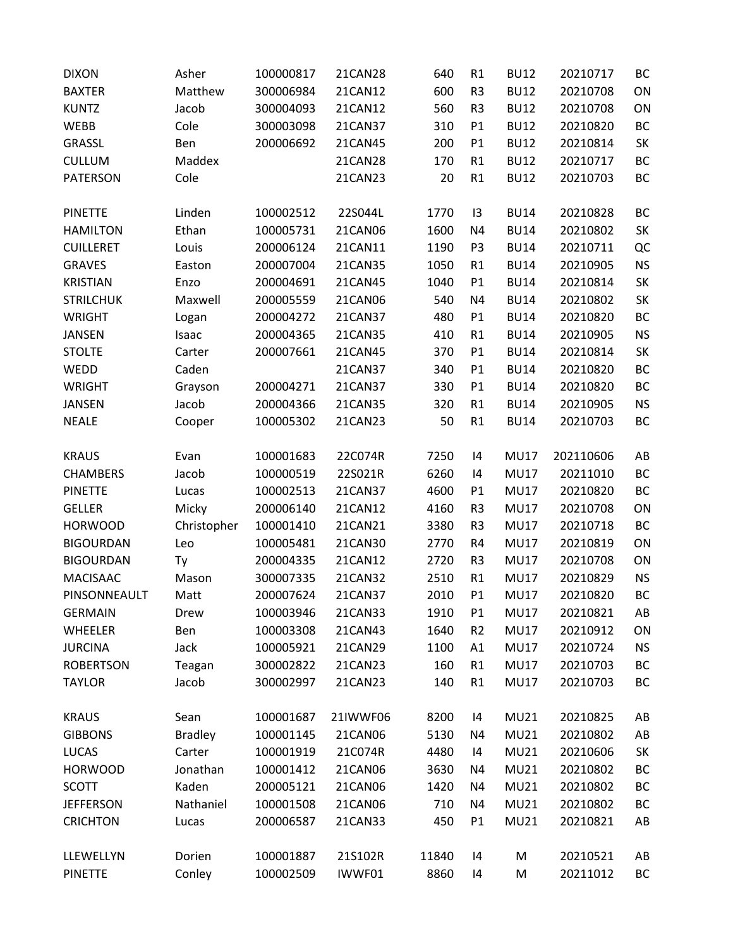| <b>DIXON</b>     | Asher          | 100000817 | 21CAN28  | 640   | R1             | <b>BU12</b> | 20210717  | ВC        |
|------------------|----------------|-----------|----------|-------|----------------|-------------|-----------|-----------|
| <b>BAXTER</b>    | Matthew        | 300006984 | 21CAN12  | 600   | R <sub>3</sub> | <b>BU12</b> | 20210708  | ON        |
| <b>KUNTZ</b>     | Jacob          | 300004093 | 21CAN12  | 560   | R <sub>3</sub> | <b>BU12</b> | 20210708  | ON        |
| WEBB             | Cole           | 300003098 | 21CAN37  | 310   | P1             | <b>BU12</b> | 20210820  | <b>BC</b> |
| <b>GRASSL</b>    | Ben            | 200006692 | 21CAN45  | 200   | P1             | <b>BU12</b> | 20210814  | SK        |
| <b>CULLUM</b>    | Maddex         |           | 21CAN28  | 170   | R1             | <b>BU12</b> | 20210717  | BC        |
| <b>PATERSON</b>  | Cole           |           | 21CAN23  | 20    | R1             | <b>BU12</b> | 20210703  | BC        |
| <b>PINETTE</b>   | Linden         | 100002512 | 22S044L  | 1770  | 13             | <b>BU14</b> | 20210828  | BC        |
| <b>HAMILTON</b>  | Ethan          | 100005731 | 21CAN06  | 1600  | N <sub>4</sub> | <b>BU14</b> | 20210802  | SK        |
| <b>CUILLERET</b> | Louis          | 200006124 | 21CAN11  | 1190  | P <sub>3</sub> | <b>BU14</b> | 20210711  | QC        |
| <b>GRAVES</b>    | Easton         | 200007004 | 21CAN35  | 1050  | R1             | <b>BU14</b> | 20210905  | <b>NS</b> |
| <b>KRISTIAN</b>  | Enzo           | 200004691 | 21CAN45  | 1040  | P1             | <b>BU14</b> | 20210814  | SK        |
| <b>STRILCHUK</b> | Maxwell        | 200005559 | 21CAN06  | 540   | N <sub>4</sub> | <b>BU14</b> | 20210802  | SK        |
| <b>WRIGHT</b>    | Logan          | 200004272 | 21CAN37  | 480   | P1             | <b>BU14</b> | 20210820  | BC        |
| <b>JANSEN</b>    | Isaac          | 200004365 | 21CAN35  | 410   | R1             | <b>BU14</b> | 20210905  | <b>NS</b> |
| <b>STOLTE</b>    | Carter         | 200007661 | 21CAN45  | 370   | P1             | <b>BU14</b> | 20210814  | SK        |
| WEDD             | Caden          |           | 21CAN37  | 340   | P <sub>1</sub> | <b>BU14</b> | 20210820  | <b>BC</b> |
| <b>WRIGHT</b>    | Grayson        | 200004271 | 21CAN37  | 330   | P1             | <b>BU14</b> | 20210820  | BC        |
| <b>JANSEN</b>    | Jacob          | 200004366 | 21CAN35  | 320   | R1             | <b>BU14</b> | 20210905  | <b>NS</b> |
| <b>NEALE</b>     | Cooper         | 100005302 | 21CAN23  | 50    | R1             | <b>BU14</b> | 20210703  | <b>BC</b> |
| <b>KRAUS</b>     | Evan           | 100001683 | 22C074R  | 7250  | 14             | <b>MU17</b> | 202110606 | AB        |
| <b>CHAMBERS</b>  | Jacob          | 100000519 | 22S021R  | 6260  | 14             | <b>MU17</b> | 20211010  | BC        |
| <b>PINETTE</b>   | Lucas          | 100002513 | 21CAN37  | 4600  | P1             | <b>MU17</b> | 20210820  | BC        |
| <b>GELLER</b>    | Micky          | 200006140 | 21CAN12  | 4160  | R <sub>3</sub> | <b>MU17</b> | 20210708  | ON        |
| <b>HORWOOD</b>   | Christopher    | 100001410 | 21CAN21  | 3380  | R <sub>3</sub> | <b>MU17</b> | 20210718  | BC        |
| <b>BIGOURDAN</b> | Leo            | 100005481 | 21CAN30  | 2770  | R4             | <b>MU17</b> | 20210819  | ON        |
| <b>BIGOURDAN</b> | Ty             | 200004335 | 21CAN12  | 2720  | R <sub>3</sub> | <b>MU17</b> | 20210708  | ON        |
| <b>MACISAAC</b>  | Mason          | 300007335 | 21CAN32  | 2510  | R1             | <b>MU17</b> | 20210829  | <b>NS</b> |
| PINSONNEAULT     | Matt           | 200007624 | 21CAN37  | 2010  | P1             | <b>MU17</b> | 20210820  | BC        |
| <b>GERMAIN</b>   | Drew           | 100003946 | 21CAN33  | 1910  | P <sub>1</sub> | <b>MU17</b> | 20210821  | AB        |
| WHEELER          | Ben            | 100003308 | 21CAN43  | 1640  | R <sub>2</sub> | <b>MU17</b> | 20210912  | ON        |
| <b>JURCINA</b>   | Jack           | 100005921 | 21CAN29  | 1100  | A1             | <b>MU17</b> | 20210724  | <b>NS</b> |
| <b>ROBERTSON</b> | Teagan         | 300002822 | 21CAN23  | 160   | R1             | <b>MU17</b> | 20210703  | BC        |
| <b>TAYLOR</b>    | Jacob          | 300002997 | 21CAN23  | 140   | R1             | <b>MU17</b> | 20210703  | BC        |
| <b>KRAUS</b>     | Sean           | 100001687 | 21IWWF06 | 8200  | 14             | <b>MU21</b> | 20210825  | AB        |
| <b>GIBBONS</b>   | <b>Bradley</b> | 100001145 | 21CAN06  | 5130  | N4             | <b>MU21</b> | 20210802  | AB        |
| <b>LUCAS</b>     | Carter         | 100001919 | 21C074R  | 4480  | 14             | <b>MU21</b> | 20210606  | SK        |
| <b>HORWOOD</b>   | Jonathan       | 100001412 | 21CAN06  | 3630  | N4             | <b>MU21</b> | 20210802  | BC        |
| <b>SCOTT</b>     | Kaden          | 200005121 | 21CAN06  | 1420  | N4             | <b>MU21</b> | 20210802  | ВC        |
| <b>JEFFERSON</b> | Nathaniel      | 100001508 | 21CAN06  | 710   | N4             | <b>MU21</b> | 20210802  | BC        |
| <b>CRICHTON</b>  | Lucas          | 200006587 | 21CAN33  | 450   | P1             | <b>MU21</b> | 20210821  | AB        |
| LLEWELLYN        | Dorien         | 100001887 | 21S102R  | 11840 | 4              | M           | 20210521  | AB        |
|                  |                |           |          |       |                |             |           |           |